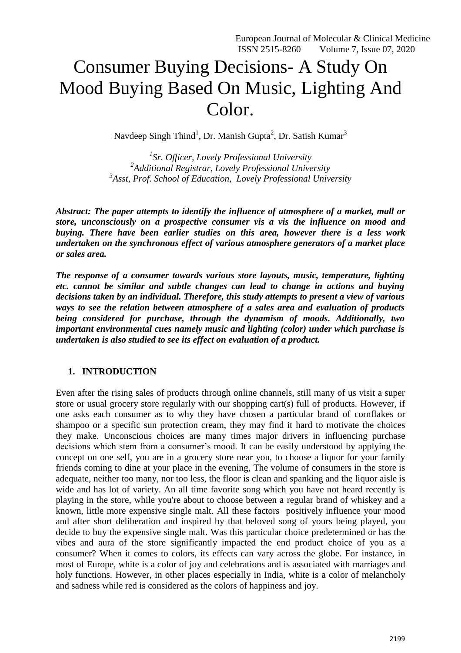European Journal of Molecular & Clinical Medicine ISSN 2515-8260 Volume 7, Issue 07, 2020

# Consumer Buying Decisions- A Study On Mood Buying Based On Music, Lighting And Color.

Navdeep Singh Thind<sup>1</sup>, Dr. Manish Gupta<sup>2</sup>, Dr. Satish Kumar<sup>3</sup>

*1 Sr. Officer, Lovely Professional University 2 Additional Registrar, Lovely Professional University 3 Asst, Prof. School of Education, Lovely Professional University*

*Abstract: The paper attempts to identify the influence of atmosphere of a market, mall or store, unconsciously on a prospective consumer vis a vis the influence on mood and buying. There have been earlier studies on this area, however there is a less work undertaken on the synchronous effect of various atmosphere generators of a market place or sales area.* 

*The response of a consumer towards various store layouts, music, temperature, lighting etc. cannot be similar and subtle changes can lead to change in actions and buying decisions taken by an individual. Therefore, this study attempts to present a view of various ways to see the relation between atmosphere of a sales area and evaluation of products being considered for purchase, through the dynamism of moods. Additionally, two important environmental cues namely music and lighting (color) under which purchase is undertaken is also studied to see its effect on evaluation of a product.* 

#### **1. INTRODUCTION**

Even after the rising sales of products through online channels, still many of us visit a super store or usual grocery store regularly with our shopping cart(s) full of products. However, if one asks each consumer as to why they have chosen a particular brand of cornflakes or shampoo or a specific sun protection cream, they may find it hard to motivate the choices they make. Unconscious choices are many times major drivers in influencing purchase decisions which stem from a consumer's mood. It can be easily understood by applying the concept on one self, you are in a grocery store near you, to choose a liquor for your family friends coming to dine at your place in the evening, The volume of consumers in the store is adequate, neither too many, nor too less, the floor is clean and spanking and the liquor aisle is wide and has lot of variety. An all time favorite song which you have not heard recently is playing in the store, while you're about to choose between a regular brand of whiskey and a known, little more expensive single malt. All these factors positively influence your mood and after short deliberation and inspired by that beloved song of yours being played, you decide to buy the expensive single malt. Was this particular choice predetermined or has the vibes and aura of the store significantly impacted the end product choice of you as a consumer? When it comes to colors, its effects can vary across the globe. For instance, in most of Europe, white is a color of joy and celebrations and is associated with marriages and holy functions. However, in other places especially in India, white is a color of melancholy and sadness while red is considered as the colors of happiness and joy.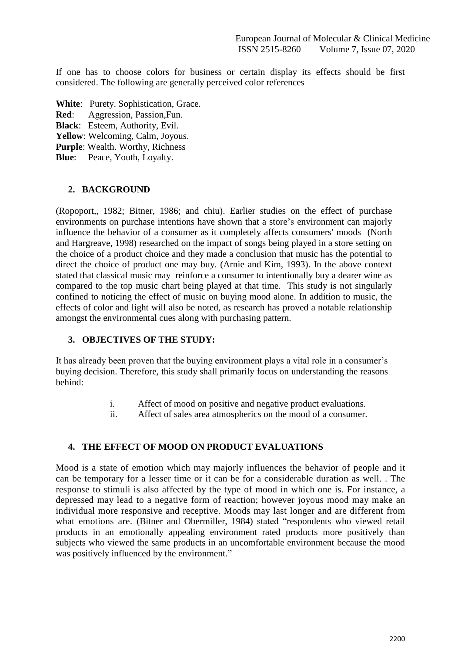If one has to choose colors for business or certain display its effects should be first considered. The following are generally perceived color references

- **White**: Purety. Sophistication, Grace.
- **Red**: Aggression, Passion,Fun.
- **Black**: Esteem, Authority, Evil.
- **Yellow**: Welcoming, Calm, Joyous.
- **Purple**: Wealth. Worthy, Richness
- **Blue**: Peace, Youth, Loyalty.

# **2. BACKGROUND**

(Ropoport,, 1982; Bitner, 1986; and chiu). Earlier studies on the effect of purchase environments on purchase intentions have shown that a store's environment can majorly influence the behavior of a consumer as it completely affects consumers' moods (North and Hargreave, 1998) researched on the impact of songs being played in a store setting on the choice of a product choice and they made a conclusion that music has the potential to direct the choice of product one may buy. (Arnie and Kim, 1993). In the above context stated that classical music may reinforce a consumer to intentionally buy a dearer wine as compared to the top music chart being played at that time. This study is not singularly confined to noticing the effect of music on buying mood alone. In addition to music, the effects of color and light will also be noted, as research has proved a notable relationship amongst the environmental cues along with purchasing pattern.

# **3. OBJECTIVES OF THE STUDY:**

It has already been proven that the buying environment plays a vital role in a consumer's buying decision. Therefore, this study shall primarily focus on understanding the reasons behind:

- i. Affect of mood on positive and negative product evaluations.
- ii. Affect of sales area atmospherics on the mood of a consumer.

# **4. THE EFFECT OF MOOD ON PRODUCT EVALUATIONS**

Mood is a state of emotion which may majorly influences the behavior of people and it can be temporary for a lesser time or it can be for a considerable duration as well. . The response to stimuli is also affected by the type of mood in which one is. For instance, a depressed may lead to a negative form of reaction; however joyous mood may make an individual more responsive and receptive. Moods may last longer and are different from what emotions are. (Bitner and Obermiller, 1984) stated "respondents who viewed retail products in an emotionally appealing environment rated products more positively than subjects who viewed the same products in an uncomfortable environment because the mood was positively influenced by the environment."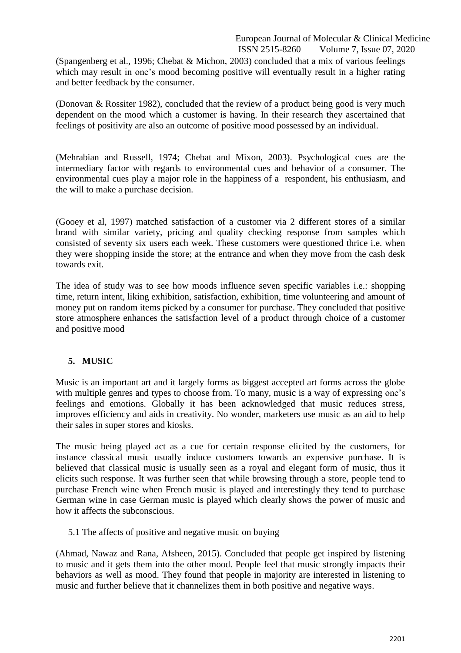#### European Journal of Molecular & Clinical Medicine<br>ISSN 2515-8260 Volume 7, Issue 07, 2020 Volume 7, Issue 07, 2020

(Spangenberg et al., 1996; Chebat & Michon, 2003) concluded that a mix of various feelings which may result in one's mood becoming positive will eventually result in a higher rating and better feedback by the consumer.

(Donovan & Rossiter 1982), concluded that the review of a product being good is very much dependent on the mood which a customer is having. In their research they ascertained that feelings of positivity are also an outcome of positive mood possessed by an individual.

(Mehrabian and Russell, 1974; Chebat and Mixon, 2003). Psychological cues are the intermediary factor with regards to environmental cues and behavior of a consumer. The environmental cues play a major role in the happiness of a respondent, his enthusiasm, and the will to make a purchase decision.

(Gooey et al, 1997) matched satisfaction of a customer via 2 different stores of a similar brand with similar variety, pricing and quality checking response from samples which consisted of seventy six users each week. These customers were questioned thrice i.e. when they were shopping inside the store; at the entrance and when they move from the cash desk towards exit.

The idea of study was to see how moods influence seven specific variables i.e.: shopping time, return intent, liking exhibition, satisfaction, exhibition, time volunteering and amount of money put on random items picked by a consumer for purchase. They concluded that positive store atmosphere enhances the satisfaction level of a product through choice of a customer and positive mood

## **5. MUSIC**

Music is an important art and it largely forms as biggest accepted art forms across the globe with multiple genres and types to choose from. To many, music is a way of expressing one's feelings and emotions. Globally it has been acknowledged that music reduces stress, improves efficiency and aids in creativity. No wonder, marketers use music as an aid to help their sales in super stores and kiosks.

The music being played act as a cue for certain response elicited by the customers, for instance classical music usually induce customers towards an expensive purchase. It is believed that classical music is usually seen as a royal and elegant form of music, thus it elicits such response. It was further seen that while browsing through a store, people tend to purchase French wine when French music is played and interestingly they tend to purchase German wine in case German music is played which clearly shows the power of music and how it affects the subconscious.

5.1 The affects of positive and negative music on buying

(Ahmad, Nawaz and Rana, Afsheen, 2015). Concluded that people get inspired by listening to music and it gets them into the other mood. People feel that music strongly impacts their behaviors as well as mood. They found that people in majority are interested in listening to music and further believe that it channelizes them in both positive and negative ways.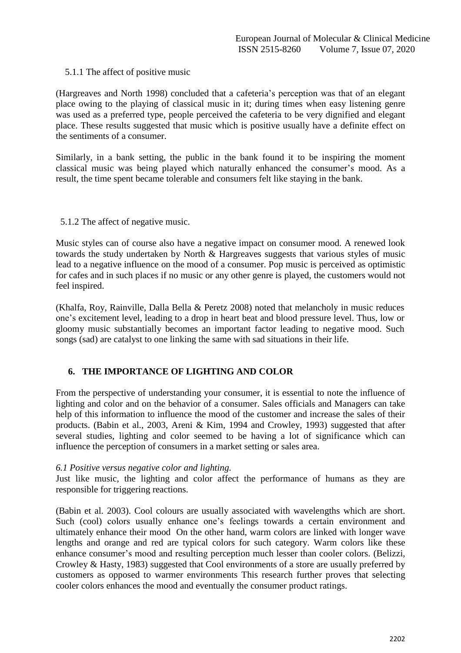#### 5.1.1 The affect of positive music

(Hargreaves and North 1998) concluded that a cafeteria's perception was that of an elegant place owing to the playing of classical music in it; during times when easy listening genre was used as a preferred type, people perceived the cafeteria to be very dignified and elegant place. These results suggested that music which is positive usually have a definite effect on the sentiments of a consumer.

Similarly, in a bank setting, the public in the bank found it to be inspiring the moment classical music was being played which naturally enhanced the consumer's mood. As a result, the time spent became tolerable and consumers felt like staying in the bank.

#### 5.1.2 The affect of negative music.

Music styles can of course also have a negative impact on consumer mood. A renewed look towards the study undertaken by North & Hargreaves suggests that various styles of music lead to a negative influence on the mood of a consumer. Pop music is perceived as optimistic for cafes and in such places if no music or any other genre is played, the customers would not feel inspired.

(Khalfa, Roy, Rainville, Dalla Bella & Peretz 2008) noted that melancholy in music reduces one's excitement level, leading to a drop in heart beat and blood pressure level. Thus, low or gloomy music substantially becomes an important factor leading to negative mood. Such songs (sad) are catalyst to one linking the same with sad situations in their life.

## **6. THE IMPORTANCE OF LIGHTING AND COLOR**

From the perspective of understanding your consumer, it is essential to note the influence of lighting and color and on the behavior of a consumer. Sales officials and Managers can take help of this information to influence the mood of the customer and increase the sales of their products. (Babin et al., 2003, Areni & Kim, 1994 and Crowley, 1993) suggested that after several studies, lighting and color seemed to be having a lot of significance which can influence the perception of consumers in a market setting or sales area.

#### *6.1 Positive versus negative color and lighting.*

Just like music, the lighting and color affect the performance of humans as they are responsible for triggering reactions.

(Babin et al. 2003). Cool colours are usually associated with wavelengths which are short. Such (cool) colors usually enhance one's feelings towards a certain environment and ultimately enhance their mood On the other hand, warm colors are linked with longer wave lengths and orange and red are typical colors for such category. Warm colors like these enhance consumer's mood and resulting perception much lesser than cooler colors. (Belizzi, Crowley & Hasty, 1983) suggested that Cool environments of a store are usually preferred by customers as opposed to warmer environments This research further proves that selecting cooler colors enhances the mood and eventually the consumer product ratings.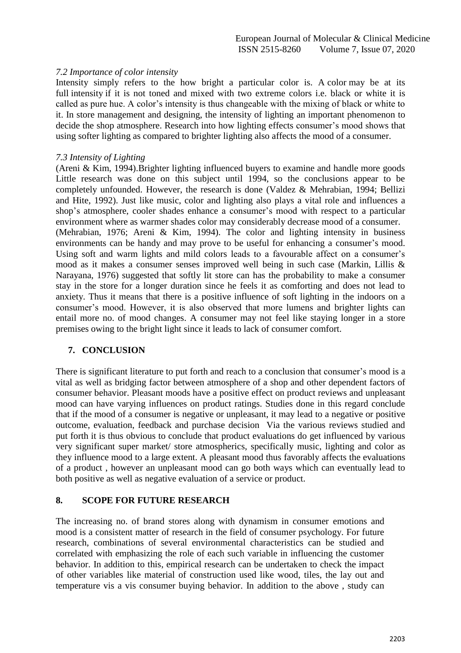#### *7.2 Importance of color intensity*

Intensity simply refers to the how bright a particular color is. A color may be at its full intensity if it is not toned and mixed with two extreme colors i.e. black or white it is called as pure hue. A color's intensity is thus changeable with the mixing of black or white to it. In store management and designing, the intensity of lighting an important phenomenon to decide the shop atmosphere. Research into how lighting effects consumer's mood shows that using softer lighting as compared to brighter lighting also affects the mood of a consumer.

#### *7.3 Intensity of Lighting*

(Areni & Kim, 1994).Brighter lighting influenced buyers to examine and handle more goods Little research was done on this subject until 1994, so the conclusions appear to be completely unfounded. However, the research is done (Valdez & Mehrabian, 1994; Bellizi and Hite, 1992). Just like music, color and lighting also plays a vital role and influences a shop's atmosphere, cooler shades enhance a consumer's mood with respect to a particular environment where as warmer shades color may considerably decrease mood of a consumer. (Mehrabian, 1976; Areni & Kim, 1994). The color and lighting intensity in business environments can be handy and may prove to be useful for enhancing a consumer's mood. Using soft and warm lights and mild colors leads to a favourable affect on a consumer's mood as it makes a consumer senses improved well being in such case (Markin, Lillis & Narayana, 1976) suggested that softly lit store can has the probability to make a consumer stay in the store for a longer duration since he feels it as comforting and does not lead to anxiety. Thus it means that there is a positive influence of soft lighting in the indoors on a consumer's mood. However, it is also observed that more lumens and brighter lights can entail more no. of mood changes. A consumer may not feel like staying longer in a store premises owing to the bright light since it leads to lack of consumer comfort.

## **7. CONCLUSION**

There is significant literature to put forth and reach to a conclusion that consumer's mood is a vital as well as bridging factor between atmosphere of a shop and other dependent factors of consumer behavior. Pleasant moods have a positive effect on product reviews and unpleasant mood can have varying influences on product ratings. Studies done in this regard conclude that if the mood of a consumer is negative or unpleasant, it may lead to a negative or positive outcome, evaluation, feedback and purchase decision Via the various reviews studied and put forth it is thus obvious to conclude that product evaluations do get influenced by various very significant super market/ store atmospherics, specifically music, lighting and color as they influence mood to a large extent. A pleasant mood thus favorably affects the evaluations of a product , however an unpleasant mood can go both ways which can eventually lead to both positive as well as negative evaluation of a service or product.

#### **8. SCOPE FOR FUTURE RESEARCH**

The increasing no. of brand stores along with dynamism in consumer emotions and mood is a consistent matter of research in the field of consumer psychology. For future research, combinations of several environmental characteristics can be studied and correlated with emphasizing the role of each such variable in influencing the customer behavior. In addition to this, empirical research can be undertaken to check the impact of other variables like material of construction used like wood, tiles, the lay out and temperature vis a vis consumer buying behavior. In addition to the above , study can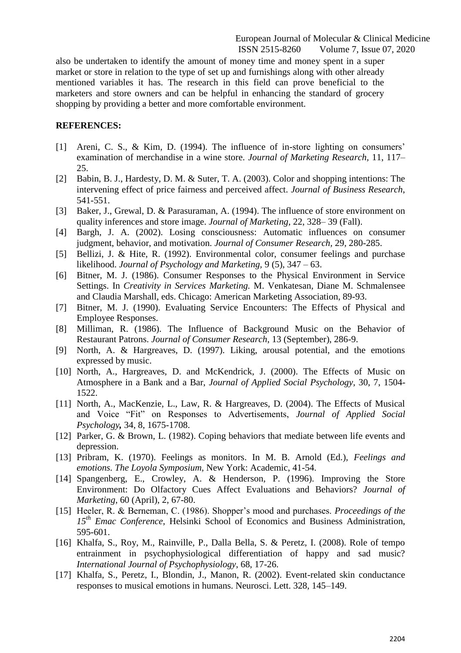also be undertaken to identify the amount of money time and money spent in a super market or store in relation to the type of set up and furnishings along with other already mentioned variables it has. The research in this field can prove beneficial to the marketers and store owners and can be helpful in enhancing the standard of grocery shopping by providing a better and more comfortable environment.

#### **REFERENCES:**

- [1] Areni, C. S., & Kim, D. (1994). The influence of in-store lighting on consumers' examination of merchandise in a wine store. *Journal of Marketing Research,* 11, 117– 25.
- [2] Babin, B. J., Hardesty, D. M. & Suter, T. A. (2003). Color and shopping intentions: The intervening effect of price fairness and perceived affect. *Journal of Business Research*, 541-551.
- [3] Baker, J., Grewal, D. & Parasuraman, A. (1994). The influence of store environment on quality inferences and store image. *Journal of Marketing,* 22, 328– 39 (Fall).
- [4] Bargh, J. A. (2002). Losing consciousness: Automatic influences on consumer judgment, behavior, and motivation. *Journal of Consumer Research,* 29*,* 280-285.
- [5] Bellizi, J. & Hite, R. (1992). Environmental color, consumer feelings and purchase likelihood. *Journal of Psychology and Marketing,* 9 (5), 347 – 63.
- [6] Bitner, M. J. (1986). Consumer Responses to the Physical Environment in Service Settings. In *Creativity in Services Marketing.* M. Venkatesan, Diane M. Schmalensee and Claudia Marshall, eds. Chicago: American Marketing Association, 89-93.
- [7] Bitner, M. J. (1990). Evaluating Service Encounters: The Effects of Physical and Employee Responses.
- [8] Milliman, R. (1986). The Influence of Background Music on the Behavior of Restaurant Patrons. *Journal of Consumer Research*, 13 (September), 286-9.
- [9] North, A. & Hargreaves, D. (1997). Liking, arousal potential, and the emotions expressed by music.
- [10] North, A., Hargreaves, D. and McKendrick, J. (2000). The Effects of Music on Atmosphere in a Bank and a Bar, *Journal of Applied Social Psychology,* 30, 7, 1504- 1522.
- [11] North, A., MacKenzie, L., Law, R. & Hargreaves, D. (2004). The Effects of Musical and Voice "Fit" on Responses to Advertisements, *Journal of Applied Social Psychology,* 34, 8, 1675-1708.
- [12] Parker, G. & Brown, L. (1982). Coping behaviors that mediate between life events and depression.
- [13] Pribram, K. (1970). Feelings as monitors. In M. B. Arnold (Ed.), *Feelings and emotions. The Loyola Symposium*, New York: Academic, 41-54.
- [14] Spangenberg, E., Crowley, A. & Henderson, P. (1996). Improving the Store Environment: Do Olfactory Cues Affect Evaluations and Behaviors? *Journal of Marketing,* 60 (April), 2, 67-80.
- [15] Heeler, R. & Berneman, C. (1986). Shopper's mood and purchases. *Proceedings of the 15th Emac Conference*, Helsinki School of Economics and Business Administration, 595-601.
- [16] Khalfa, S., Roy, M., Rainville, P., Dalla Bella, S. & Peretz, I. (2008). Role of tempo entrainment in psychophysiological differentiation of happy and sad music? *International Journal of Psychophysiology*, 68, 17-26.
- [17] Khalfa, S., Peretz, I., Blondin, J., Manon, R. (2002). Event-related skin conductance responses to musical emotions in humans. Neurosci. Lett. 328, 145–149.